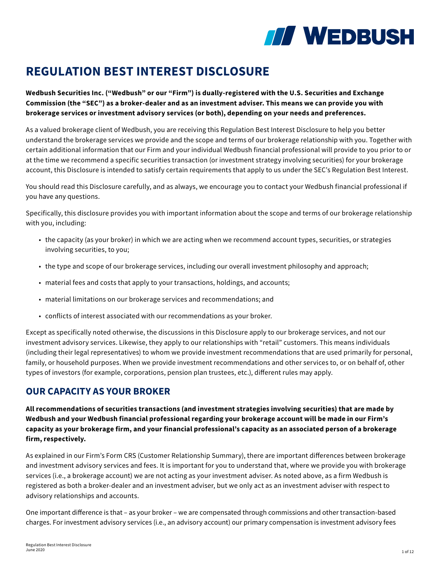

# **REGULATION BEST INTEREST DISCLOSURE**

**Wedbush Securities Inc. ("Wedbush" or our "Firm") is dually-registered with the U.S. Securities and Exchange Commission (the "SEC") as a broker-dealer and as an investment adviser. This means we can provide you with brokerage services or investment advisory services (or both), depending on your needs and preferences.**

As a valued brokerage client of Wedbush, you are receiving this Regulation Best Interest Disclosure to help you better understand the brokerage services we provide and the scope and terms of our brokerage relationship with you. Together with certain additional information that our Firm and your individual Wedbush financial professional will provide to you prior to or at the time we recommend a specific securities transaction (or investment strategy involving securities) for your brokerage account, this Disclosure is intended to satisfy certain requirements that apply to us under the SEC's Regulation Best Interest.

You should read this Disclosure carefully, and as always, we encourage you to contact your Wedbush financial professional if you have any questions.

Specifically, this disclosure provides you with important information about the scope and terms of our brokerage relationship with you, including:

- the capacity (as your broker) in which we are acting when we recommend account types, securities, or strategies involving securities, to you;
- the type and scope of our brokerage services, including our overall investment philosophy and approach;
- material fees and costs that apply to your transactions, holdings, and accounts;
- material limitations on our brokerage services and recommendations; and
- conflicts of interest associated with our recommendations as your broker.

Except as specifically noted otherwise, the discussions in this Disclosure apply to our brokerage services, and not our investment advisory services. Likewise, they apply to our relationships with "retail" customers. This means individuals (including their legal representatives) to whom we provide investment recommendations that are used primarily for personal, family, or household purposes. When we provide investment recommendations and other services to, or on behalf of, other types of investors (for example, corporations, pension plan trustees, etc.), different rules may apply.

### **OUR CAPACITY AS YOUR BROKER**

**All recommendations of securities transactions (and investment strategies involving securities) that are made by Wedbush and your Wedbush financial professional regarding your brokerage account will be made in our Firm's capacity as your brokerage firm, and your financial professional's capacity as an associated person of a brokerage firm, respectively.** 

As explained in our Firm's Form CRS (Customer Relationship Summary), there are important differences between brokerage and investment advisory services and fees. It is important for you to understand that, where we provide you with brokerage services (i.e., a brokerage account) we are not acting as your investment adviser. As noted above, as a firm Wedbush is registered as both a broker-dealer and an investment adviser, but we only act as an investment adviser with respect to advisory relationships and accounts.

One important difference is that – as your broker – we are compensated through commissions and other transaction-based charges. For investment advisory services (i.e., an advisory account) our primary compensation is investment advisory fees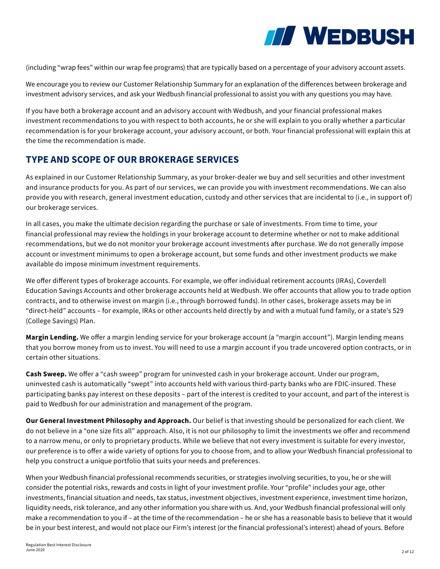

(including "wrap fees" within our wrap fee programs) that are typically based on a percentage of your advisory account assets.

We encourage you to review our Customer Relationship Summary for an explanation of the differences between brokerage and investment advisory services, and ask your Wedbush financial professional to assist you with any questions you may have.

If you have both a brokerage account and an advisory account with Wedbush, and your financial professional makes investment recommendations to you with respect to both accounts, he or she will explain to you orally whether a particular recommendation is for your brokerage account, your advisory account, or both. Your financial professional will explain this at the time the recommendation is made.

### **TYPE AND SCOPE OF OUR BROKERAGE SERVICES**

As explained in our Customer Relationship Summary, as your broker-dealer we buy and sell securities and other investment and insurance products for you. As part of our services, we can provide you with investment recommendations. We can also provide you with research, general investment education, custody and other services that are incidental to (i.e., in support of) our brokerage services.

In all cases, you make the ultimate decision regarding the purchase or sale of investments. From time to time, your financial professional may review the holdings in your brokerage account to determine whether or not to make additional recommendations, but we do not monitor your brokerage account investments after purchase. We do not generally impose account or investment minimums to open a brokerage account, but some funds and other investment products we make available do impose minimum investment requirements.

We offer different types of brokerage accounts. For example, we offer individual retirement accounts (IRAs), Coverdell Education Savings Accounts and other brokerage accounts held at Wedbush. We offer accounts that allow you to trade option contracts, and to otherwise invest on margin (i.e., through borrowed funds). In other cases, brokerage assets may be in "direct-held" accounts – for example, IRAs or other accounts held directly by and with a mutual fund family, or a state's 529 (College Savings) Plan.

Margin Lending. We offer a margin lending service for your brokerage account (a "margin account"). Margin lending means that you borrow money from us to invest. You will need to use a margin account if you trade uncovered option contracts, or in certain other situations.

**Cash Sweep.** We offer a "cash sweep" program for uninvested cash in your brokerage account. Under our program, uninvested cash is automatically "swept" into accounts held with various third-party banks who are FDIC-insured. These participating banks pay interest on these deposits – part of the interest is credited to your account, and part of the interest is paid to Wedbush for our administration and management of the program.

**Our General Investment Philosophy and Approach.** Our belief is that investing should be personalized for each client. We do not believe in a "one size fits all" approach. Also, it is not our philosophy to limit the investments we offer and recommend to a narrow menu, or only to proprietary products. While we believe that not every investment is suitable for every investor, our preference is to offer a wide variety of options for you to choose from, and to allow your Wedbush financial professional to help you construct a unique portfolio that suits your needs and preferences.

When your Wedbush financial professional recommends securities, or strategies involving securities, to you, he or she will consider the potential risks, rewards and costs in light of your investment profile. Your "profile" includes your age, other investments, financial situation and needs, tax status, investment objectives, investment experience, investment time horizon, liquidity needs, risk tolerance, and any other information you share with us. And, your Wedbush financial professional will only make a recommendation to you if – at the time of the recommendation – he or she has a reasonable basis to believe that it would be in your best interest, and would not place our Firm's interest (or the financial professional's interest) ahead of yours. Before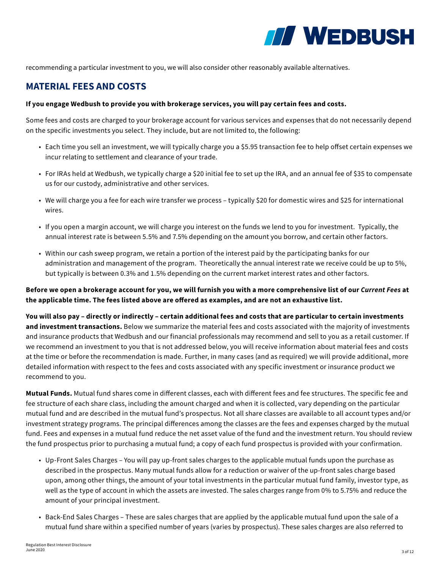

recommending a particular investment to you, we will also consider other reasonably available alternatives.

#### **MATERIAL FEES AND COSTS**

#### **If you engage Wedbush to provide you with brokerage services, you will pay certain fees and costs.**

Some fees and costs are charged to your brokerage account for various services and expenses that do not necessarily depend on the specific investments you select. They include, but are not limited to, the following:

- Each time you sell an investment, we will typically charge you a \$5.95 transaction fee to help offset certain expenses we incur relating to settlement and clearance of your trade.
- For IRAs held at Wedbush, we typically charge a \$20 initial fee to set up the IRA, and an annual fee of \$35 to compensate us for our custody, administrative and other services.
- We will charge you a fee for each wire transfer we process typically \$20 for domestic wires and \$25 for international wires.
- If you open a margin account, we will charge you interest on the funds we lend to you for investment. Typically, the annual interest rate is between 5.5% and 7.5% depending on the amount you borrow, and certain other factors.
- Within our cash sweep program, we retain a portion of the interest paid by the participating banks for our administration and management of the program. Theoretically the annual interest rate we receive could be up to 5%, but typically is between 0.3% and 1.5% depending on the current market interest rates and other factors.

**Before we open a brokerage account for you, we will furnish you with a more comprehensive list of our** *Current Fees* **at the applicable time. The fees listed above are offered as examples, and are not an exhaustive list.** 

**You will also pay – directly or indirectly – certain additional fees and costs that are particular to certain investments and investment transactions.** Below we summarize the material fees and costs associated with the majority of investments and insurance products that Wedbush and our financial professionals may recommend and sell to you as a retail customer. If we recommend an investment to you that is not addressed below, you will receive information about material fees and costs at the time or before the recommendation is made. Further, in many cases (and as required) we will provide additional, more detailed information with respect to the fees and costs associated with any specific investment or insurance product we recommend to you.

**Mutual Funds.** Mutual fund shares come in different classes, each with different fees and fee structures. The specific fee and fee structure of each share class, including the amount charged and when it is collected, vary depending on the particular mutual fund and are described in the mutual fund's prospectus. Not all share classes are available to all account types and/or investment strategy programs. The principal differences among the classes are the fees and expenses charged by the mutual fund. Fees and expenses in a mutual fund reduce the net asset value of the fund and the investment return. You should review the fund prospectus prior to purchasing a mutual fund; a copy of each fund prospectus is provided with your confirmation.

- Up-Front Sales Charges You will pay up-front sales charges to the applicable mutual funds upon the purchase as described in the prospectus. Many mutual funds allow for a reduction or waiver of the up-front sales charge based upon, among other things, the amount of your total investments in the particular mutual fund family, investor type, as well as the type of account in which the assets are invested. The sales charges range from 0% to 5.75% and reduce the amount of your principal investment.
- Back-End Sales Charges These are sales charges that are applied by the applicable mutual fund upon the sale of a mutual fund share within a specified number of years (varies by prospectus). These sales charges are also referred to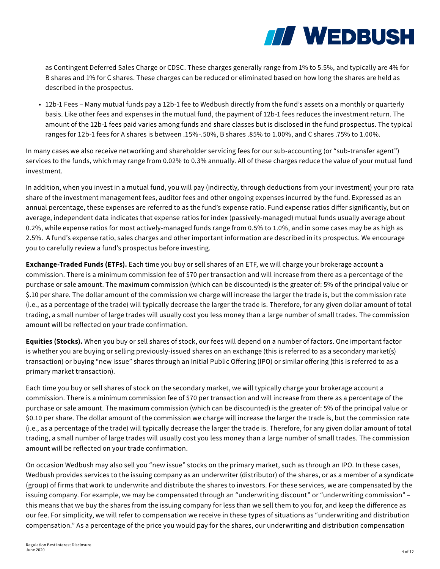

as Contingent Deferred Sales Charge or CDSC. These charges generally range from 1% to 5.5%, and typically are 4% for B shares and 1% for C shares. These charges can be reduced or eliminated based on how long the shares are held as described in the prospectus.

• 12b-1 Fees – Many mutual funds pay a 12b-1 fee to Wedbush directly from the fund's assets on a monthly or quarterly basis. Like other fees and expenses in the mutual fund, the payment of 12b-1 fees reduces the investment return. The amount of the 12b-1 fees paid varies among funds and share classes but is disclosed in the fund prospectus. The typical ranges for 12b-1 fees for A shares is between .15%-.50%, B shares .85% to 1.00%, and C shares .75% to 1.00%.

In many cases we also receive networking and shareholder servicing fees for our sub-accounting (or "sub-transfer agent") services to the funds, which may range from 0.02% to 0.3% annually. All of these charges reduce the value of your mutual fund investment.

In addition, when you invest in a mutual fund, you will pay (indirectly, through deductions from your investment) your pro rata share of the investment management fees, auditor fees and other ongoing expenses incurred by the fund. Expressed as an annual percentage, these expenses are referred to as the fund's expense ratio. Fund expense ratios differ significantly, but on average, independent data indicates that expense ratios for index (passively-managed) mutual funds usually average about 0.2%, while expense ratios for most actively-managed funds range from 0.5% to 1.0%, and in some cases may be as high as 2.5%. A fund's expense ratio, sales charges and other important information are described in its prospectus. We encourage you to carefully review a fund's prospectus before investing.

**Exchange-Traded Funds (ETFs).** Each time you buy or sell shares of an ETF, we will charge your brokerage account a commission. There is a minimum commission fee of \$70 per transaction and will increase from there as a percentage of the purchase or sale amount. The maximum commission (which can be discounted) is the greater of: 5% of the principal value or \$.10 per share. The dollar amount of the commission we charge will increase the larger the trade is, but the commission rate (i.e., as a percentage of the trade) will typically decrease the larger the trade is. Therefore, for any given dollar amount of total trading, a small number of large trades will usually cost you less money than a large number of small trades. The commission amount will be reflected on your trade confirmation.

**Equities (Stocks).** When you buy or sell shares of stock, our fees will depend on a number of factors. One important factor is whether you are buying or selling previously-issued shares on an exchange (this is referred to as a secondary market(s) transaction) or buying "new issue" shares through an Initial Public Offering (IPO) or similar offering (this is referred to as a primary market transaction).

Each time you buy or sell shares of stock on the secondary market, we will typically charge your brokerage account a commission. There is a minimum commission fee of \$70 per transaction and will increase from there as a percentage of the purchase or sale amount. The maximum commission (which can be discounted) is the greater of: 5% of the principal value or \$0.10 per share. The dollar amount of the commission we charge will increase the larger the trade is, but the commission rate (i.e., as a percentage of the trade) will typically decrease the larger the trade is. Therefore, for any given dollar amount of total trading, a small number of large trades will usually cost you less money than a large number of small trades. The commission amount will be reflected on your trade confirmation.

On occasion Wedbush may also sell you "new issue" stocks on the primary market, such as through an IPO. In these cases, Wedbush provides services to the issuing company as an underwriter (distributor) of the shares, or as a member of a syndicate (group) of firms that work to underwrite and distribute the shares to investors. For these services, we are compensated by the issuing company. For example, we may be compensated through an "underwriting discount" or "underwriting commission" – this means that we buy the shares from the issuing company for less than we sell them to you for, and keep the difference as our fee. For simplicity, we will refer to compensation we receive in these types of situations as "underwriting and distribution compensation." As a percentage of the price you would pay for the shares, our underwriting and distribution compensation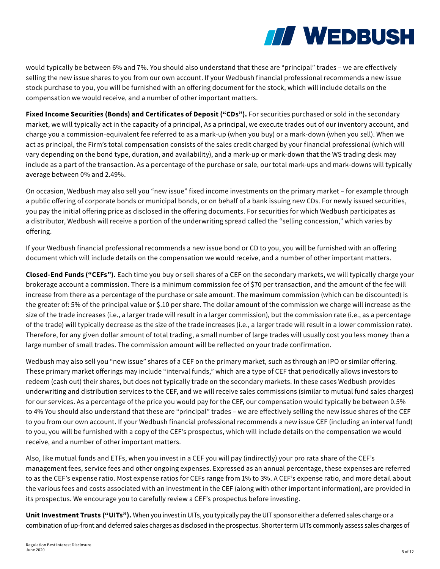

would typically be between 6% and 7%. You should also understand that these are "principal" trades – we are effectively selling the new issue shares to you from our own account. If your Wedbush financial professional recommends a new issue stock purchase to you, you will be furnished with an offering document for the stock, which will include details on the compensation we would receive, and a number of other important matters.

**Fixed Income Securities (Bonds) and Certificates of Deposit ("CDs").** For securities purchased or sold in the secondary market, we will typically act in the capacity of a principal, As a principal, we execute trades out of our inventory account, and charge you a commission-equivalent fee referred to as a mark-up (when you buy) or a mark-down (when you sell). When we act as principal, the Firm's total compensation consists of the sales credit charged by your financial professional (which will vary depending on the bond type, duration, and availability), and a mark-up or mark-down that the WS trading desk may include as a part of the transaction. As a percentage of the purchase or sale, our total mark-ups and mark-downs will typically average between 0% and 2.49%.

On occasion, Wedbush may also sell you "new issue" fixed income investments on the primary market – for example through a public offering of corporate bonds or municipal bonds, or on behalf of a bank issuing new CDs. For newly issued securities, you pay the initial offering price as disclosed in the offering documents. For securities for which Wedbush participates as a distributor, Wedbush will receive a portion of the underwriting spread called the "selling concession," which varies by offering.

If your Wedbush financial professional recommends a new issue bond or CD to you, you will be furnished with an offering document which will include details on the compensation we would receive, and a number of other important matters.

**Closed-End Funds ("CEFs").** Each time you buy or sell shares of a CEF on the secondary markets, we will typically charge your brokerage account a commission. There is a minimum commission fee of \$70 per transaction, and the amount of the fee will increase from there as a percentage of the purchase or sale amount. The maximum commission (which can be discounted) is the greater of: 5% of the principal value or \$.10 per share. The dollar amount of the commission we charge will increase as the size of the trade increases (i.e., a larger trade will result in a larger commission), but the commission rate (i.e., as a percentage of the trade) will typically decrease as the size of the trade increases (i.e., a larger trade will result in a lower commission rate). Therefore, for any given dollar amount of total trading, a small number of large trades will usually cost you less money than a large number of small trades. The commission amount will be reflected on your trade confirmation.

Wedbush may also sell you "new issue" shares of a CEF on the primary market, such as through an IPO or similar offering. These primary market offerings may include "interval funds," which are a type of CEF that periodically allows investors to redeem (cash out) their shares, but does not typically trade on the secondary markets. In these cases Wedbush provides underwriting and distribution services to the CEF, and we will receive sales commissions (similar to mutual fund sales charges) for our services. As a percentage of the price you would pay for the CEF, our compensation would typically be between 0.5% to 4% You should also understand that these are "principal" trades – we are effectively selling the new issue shares of the CEF to you from our own account. If your Wedbush financial professional recommends a new issue CEF (including an interval fund) to you, you will be furnished with a copy of the CEF's prospectus, which will include details on the compensation we would receive, and a number of other important matters.

Also, like mutual funds and ETFs, when you invest in a CEF you will pay (indirectly) your pro rata share of the CEF's management fees, service fees and other ongoing expenses. Expressed as an annual percentage, these expenses are referred to as the CEF's expense ratio. Most expense ratios for CEFs range from 1% to 3%. A CEF's expense ratio, and more detail about the various fees and costs associated with an investment in the CEF (along with other important information), are provided in its prospectus. We encourage you to carefully review a CEF's prospectus before investing.

**Unit Investment Trusts ("UITs").** When you invest in UITs, you typically pay the UIT sponsor either a deferred sales charge or a combination of up-front and deferred sales charges as disclosed in the prospectus. Shorter term UITs commonly assess sales charges of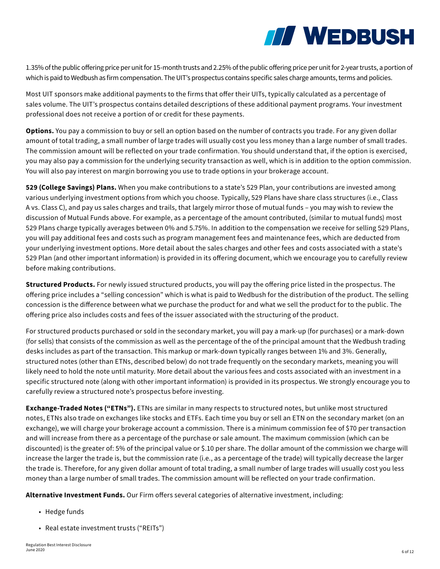

1.35% of the public offering price per unit for 15-month trusts and 2.25% of the public offering price per unit for 2-year trusts, a portion of which is paid to Wedbush as firm compensation. The UIT's prospectus contains specific sales charge amounts, terms and policies.

Most UIT sponsors make additional payments to the firms that offer their UITs, typically calculated as a percentage of sales volume. The UIT's prospectus contains detailed descriptions of these additional payment programs. Your investment professional does not receive a portion of or credit for these payments.

**Options.** You pay a commission to buy or sell an option based on the number of contracts you trade. For any given dollar amount of total trading, a small number of large trades will usually cost you less money than a large number of small trades. The commission amount will be reflected on your trade confirmation. You should understand that, if the option is exercised, you may also pay a commission for the underlying security transaction as well, which is in addition to the option commission. You will also pay interest on margin borrowing you use to trade options in your brokerage account.

**529 (College Savings) Plans.** When you make contributions to a state's 529 Plan, your contributions are invested among various underlying investment options from which you choose. Typically, 529 Plans have share class structures (i.e., Class A vs. Class C), and pay us sales charges and trails, that largely mirror those of mutual funds – you may wish to review the discussion of Mutual Funds above. For example, as a percentage of the amount contributed, (similar to mutual funds) most 529 Plans charge typically averages between 0% and 5.75%. In addition to the compensation we receive for selling 529 Plans, you will pay additional fees and costs such as program management fees and maintenance fees, which are deducted from your underlying investment options. More detail about the sales charges and other fees and costs associated with a state's 529 Plan (and other important information) is provided in its offering document, which we encourage you to carefully review before making contributions.

**Structured Products.** For newly issued structured products, you will pay the offering price listed in the prospectus. The offering price includes a "selling concession" which is what is paid to Wedbush for the distribution of the product. The selling concession is the difference between what we purchase the product for and what we sell the product for to the public. The offering price also includes costs and fees of the issuer associated with the structuring of the product.

For structured products purchased or sold in the secondary market, you will pay a mark-up (for purchases) or a mark-down (for sells) that consists of the commission as well as the percentage of the of the principal amount that the Wedbush trading desks includes as part of the transaction. This markup or mark-down typically ranges between 1% and 3%. Generally, structured notes (other than ETNs, described below) do not trade frequently on the secondary markets, meaning you will likely need to hold the note until maturity. More detail about the various fees and costs associated with an investment in a specific structured note (along with other important information) is provided in its prospectus. We strongly encourage you to carefully review a structured note's prospectus before investing.

**Exchange-Traded Notes ("ETNs").** ETNs are similar in many respects to structured notes, but unlike most structured notes, ETNs also trade on exchanges like stocks and ETFs. Each time you buy or sell an ETN on the secondary market (on an exchange), we will charge your brokerage account a commission. There is a minimum commission fee of \$70 per transaction and will increase from there as a percentage of the purchase or sale amount. The maximum commission (which can be discounted) is the greater of: 5% of the principal value or \$.10 per share. The dollar amount of the commission we charge will increase the larger the trade is, but the commission rate (i.e., as a percentage of the trade) will typically decrease the larger the trade is. Therefore, for any given dollar amount of total trading, a small number of large trades will usually cost you less money than a large number of small trades. The commission amount will be reflected on your trade confirmation.

**Alternative Investment Funds.** Our Firm offers several categories of alternative investment, including:

- Hedge funds
- Real estate investment trusts ("REITs")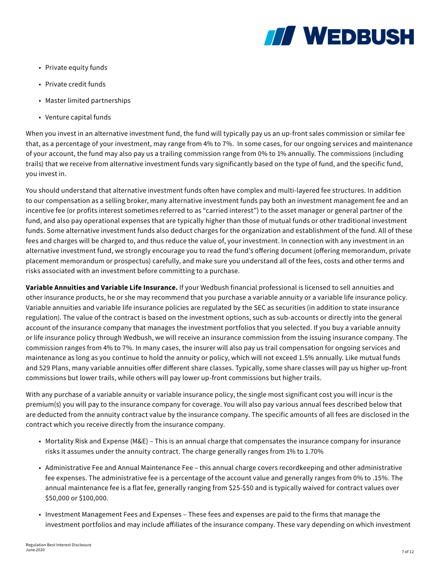

- Private equity funds
- Private credit funds
- Master limited partnerships
- Venture capital funds

When you invest in an alternative investment fund, the fund will typically pay us an up-front sales commission or similar fee that, as a percentage of your investment, may range from 4% to 7%. In some cases, for our ongoing services and maintenance of your account, the fund may also pay us a trailing commission range from 0% to 1% annually. The commissions (including trails) that we receive from alternative investment funds vary significantly based on the type of fund, and the specific fund, you invest in.

You should understand that alternative investment funds often have complex and multi-layered fee structures. In addition to our compensation as a selling broker, many alternative investment funds pay both an investment management fee and an incentive fee (or profits interest sometimes referred to as "carried interest") to the asset manager or general partner of the fund, and also pay operational expenses that are typically higher than those of mutual funds or other traditional investment funds. Some alternative investment funds also deduct charges for the organization and establishment of the fund. All of these fees and charges will be charged to, and thus reduce the value of, your investment. In connection with any investment in an alternative investment fund, we strongly encourage you to read the fund's offering document (offering memorandum, private placement memorandum or prospectus) carefully, and make sure you understand all of the fees, costs and other terms and risks associated with an investment before committing to a purchase.

**Variable Annuities and Variable Life Insurance.** If your Wedbush financial professional is licensed to sell annuities and other insurance products, he or she may recommend that you purchase a variable annuity or a variable life insurance policy. Variable annuities and variable life insurance policies are regulated by the SEC as securities (in addition to state insurance regulation). The value of the contract is based on the investment options, such as sub-accounts or directly into the general account of the insurance company that manages the investment portfolios that you selected. If you buy a variable annuity or life insurance policy through Wedbush, we will receive an insurance commission from the issuing insurance company. The commission ranges from 4% to 7%. In many cases, the insurer will also pay us trail compensation for ongoing services and maintenance as long as you continue to hold the annuity or policy, which will not exceed 1.5% annually. Like mutual funds and 529 Plans, many variable annuities offer different share classes. Typically, some share classes will pay us higher up-front commissions but lower trails, while others will pay lower up-front commissions but higher trails.

With any purchase of a variable annuity or variable insurance policy, the single most significant cost you will incur is the premium(s) you will pay to the insurance company for coverage. You will also pay various annual fees described below that are deducted from the annuity contract value by the insurance company. The specific amounts of all fees are disclosed in the contract which you receive directly from the insurance company.

- Mortality Risk and Expense (M&E) This is an annual charge that compensates the insurance company for insurance risks it assumes under the annuity contract. The charge generally ranges from 1% to 1.70%
- Administrative Fee and Annual Maintenance Fee this annual charge covers recordkeeping and other administrative fee expenses. The administrative fee is a percentage of the account value and generally ranges from 0% to .15%. The annual maintenance fee is a flat fee, generally ranging from \$25-\$50 and is typically waived for contract values over \$50,000 or \$100,000.
- Investment Management Fees and Expenses These fees and expenses are paid to the firms that manage the investment portfolios and may include affiliates of the insurance company. These vary depending on which investment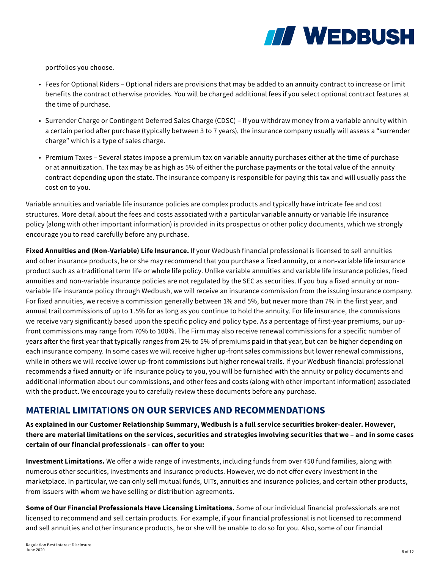

portfolios you choose.

- Fees for Optional Riders Optional riders are provisions that may be added to an annuity contract to increase or limit benefits the contract otherwise provides. You will be charged additional fees if you select optional contract features at the time of purchase.
- Surrender Charge or Contingent Deferred Sales Charge (CDSC) If you withdraw money from a variable annuity within a certain period after purchase (typically between 3 to 7 years), the insurance company usually will assess a "surrender charge" which is a type of sales charge.
- Premium Taxes Several states impose a premium tax on variable annuity purchases either at the time of purchase or at annuitization. The tax may be as high as 5% of either the purchase payments or the total value of the annuity contract depending upon the state. The insurance company is responsible for paying this tax and will usually pass the cost on to you.

Variable annuities and variable life insurance policies are complex products and typically have intricate fee and cost structures. More detail about the fees and costs associated with a particular variable annuity or variable life insurance policy (along with other important information) is provided in its prospectus or other policy documents, which we strongly encourage you to read carefully before any purchase.

**Fixed Annuities and (Non-Variable) Life Insurance.** If your Wedbush financial professional is licensed to sell annuities and other insurance products, he or she may recommend that you purchase a fixed annuity, or a non-variable life insurance product such as a traditional term life or whole life policy. Unlike variable annuities and variable life insurance policies, fixed annuities and non-variable insurance policies are not regulated by the SEC as securities. If you buy a fixed annuity or nonvariable life insurance policy through Wedbush, we will receive an insurance commission from the issuing insurance company. For fixed annuities, we receive a commission generally between 1% and 5%, but never more than 7% in the first year, and annual trail commissions of up to 1.5% for as long as you continue to hold the annuity. For life insurance, the commissions we receive vary significantly based upon the specific policy and policy type. As a percentage of first-year premiums, our upfront commissions may range from 70% to 100%. The Firm may also receive renewal commissions for a specific number of years after the first year that typically ranges from 2% to 5% of premiums paid in that year, but can be higher depending on each insurance company. In some cases we will receive higher up-front sales commissions but lower renewal commissions, while in others we will receive lower up-front commissions but higher renewal trails. If your Wedbush financial professional recommends a fixed annuity or life insurance policy to you, you will be furnished with the annuity or policy documents and additional information about our commissions, and other fees and costs (along with other important information) associated with the product. We encourage you to carefully review these documents before any purchase.

### **MATERIAL LIMITATIONS ON OUR SERVICES AND RECOMMENDATIONS**

**As explained in our Customer Relationship Summary, Wedbush is a full service securities broker-dealer. However, there are material limitations on the services, securities and strategies involving securities that we – and in some cases certain of our financial professionals - can offer to you:**

**Investment Limitations.** We offer a wide range of investments, including funds from over 450 fund families, along with numerous other securities, investments and insurance products. However, we do not offer every investment in the marketplace. In particular, we can only sell mutual funds, UITs, annuities and insurance policies, and certain other products, from issuers with whom we have selling or distribution agreements.

**Some of Our Financial Professionals Have Licensing Limitations.** Some of our individual financial professionals are not licensed to recommend and sell certain products. For example, if your financial professional is not licensed to recommend and sell annuities and other insurance products, he or she will be unable to do so for you. Also, some of our financial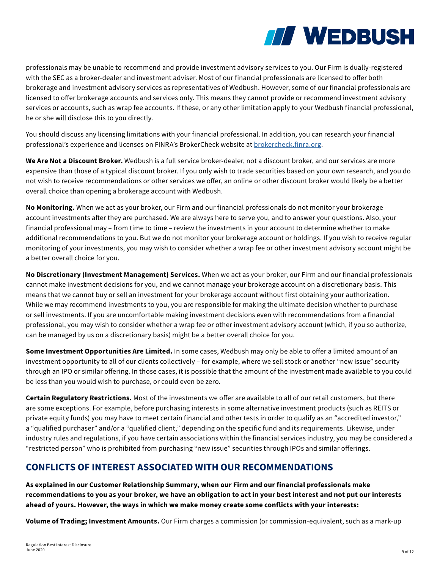

professionals may be unable to recommend and provide investment advisory services to you. Our Firm is dually-registered with the SEC as a broker-dealer and investment adviser. Most of our financial professionals are licensed to offer both brokerage and investment advisory services as representatives of Wedbush. However, some of our financial professionals are licensed to offer brokerage accounts and services only. This means they cannot provide or recommend investment advisory services or accounts, such as wrap fee accounts. If these, or any other limitation apply to your Wedbush financial professional, he or she will disclose this to you directly.

You should discuss any licensing limitations with your financial professional. In addition, you can research your financial professional's experience and licenses on FINRA's BrokerCheck website at brokercheck.finra.org.

**We Are Not a Discount Broker.** Wedbush is a full service broker-dealer, not a discount broker, and our services are more expensive than those of a typical discount broker. If you only wish to trade securities based on your own research, and you do not wish to receive recommendations or other services we offer, an online or other discount broker would likely be a better overall choice than opening a brokerage account with Wedbush.

**No Monitoring.** When we act as your broker, our Firm and our financial professionals do not monitor your brokerage account investments after they are purchased. We are always here to serve you, and to answer your questions. Also, your financial professional may – from time to time – review the investments in your account to determine whether to make additional recommendations to you. But we do not monitor your brokerage account or holdings. If you wish to receive regular monitoring of your investments, you may wish to consider whether a wrap fee or other investment advisory account might be a better overall choice for you.

**No Discretionary (Investment Management) Services.** When we act as your broker, our Firm and our financial professionals cannot make investment decisions for you, and we cannot manage your brokerage account on a discretionary basis. This means that we cannot buy or sell an investment for your brokerage account without first obtaining your authorization. While we may recommend investments to you, you are responsible for making the ultimate decision whether to purchase or sell investments. If you are uncomfortable making investment decisions even with recommendations from a financial professional, you may wish to consider whether a wrap fee or other investment advisory account (which, if you so authorize, can be managed by us on a discretionary basis) might be a better overall choice for you.

**Some Investment Opportunities Are Limited.** In some cases, Wedbush may only be able to offer a limited amount of an investment opportunity to all of our clients collectively – for example, where we sell stock or another "new issue" security through an IPO or similar offering. In those cases, it is possible that the amount of the investment made available to you could be less than you would wish to purchase, or could even be zero.

**Certain Regulatory Restrictions.** Most of the investments we offer are available to all of our retail customers, but there are some exceptions. For example, before purchasing interests in some alternative investment products (such as REITS or private equity funds) you may have to meet certain financial and other tests in order to qualify as an "accredited investor," a "qualified purchaser" and/or a "qualified client," depending on the specific fund and its requirements. Likewise, under industry rules and regulations, if you have certain associations within the financial services industry, you may be considered a "restricted person" who is prohibited from purchasing "new issue" securities through IPOs and similar offerings.

## **CONFLICTS OF INTEREST ASSOCIATED WITH OUR RECOMMENDATIONS**

**As explained in our Customer Relationship Summary, when our Firm and our financial professionals make recommendations to you as your broker, we have an obligation to act in your best interest and not put our interests ahead of yours. However, the ways in which we make money create some conflicts with your interests:**

**Volume of Trading; Investment Amounts.** Our Firm charges a commission (or commission-equivalent, such as a mark-up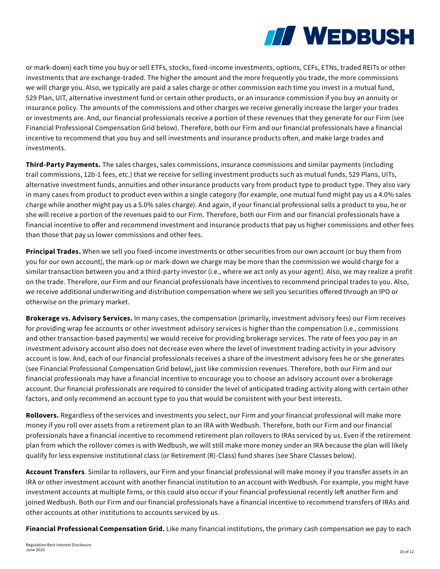

or mark-down) each time you buy or sell ETFs, stocks, fixed-income investments, options, CEFs, ETNs, traded REITs or other investments that are exchange-traded. The higher the amount and the more frequently you trade, the more commissions we will charge you. Also, we typically are paid a sales charge or other commission each time you invest in a mutual fund, 529 Plan, UIT, alternative investment fund or certain other products, or an insurance commission if you buy an annuity or insurance policy. The amounts of the commissions and other charges we receive generally increase the larger your trades or investments are. And, our financial professionals receive a portion of these revenues that they generate for our Firm (see Financial Professional Compensation Grid below). Therefore, both our Firm and our financial professionals have a financial incentive to recommend that you buy and sell investments and insurance products often, and make large trades and investments.

**Third-Party Payments.** The sales charges, sales commissions, insurance commissions and similar payments (including trail commissions, 12b-1 fees, etc.) that we receive for selling investment products such as mutual funds, 529 Plans, UITs, alternative investment funds, annuities and other insurance products vary from product type to product type. They also vary in many cases from product to product even within a single category (for example, one mutual fund might pay us a 4.0% sales charge while another might pay us a 5.0% sales charge). And again, if your financial professional sells a product to you, he or she will receive a portion of the revenues paid to our Firm. Therefore, both our Firm and our financial professionals have a financial incentive to offer and recommend investment and insurance products that pay us higher commissions and other fees than those that pay us lower commissions and other fees.

**Principal Trades.** When we sell you fixed-income investments or other securities from our own account (or buy them from you for our own account), the mark-up or mark-down we charge may be more than the commission we would charge for a similar transaction between you and a third-party investor (i.e., where we act only as your agent). Also, we may realize a profit on the trade. Therefore, our Firm and our financial professionals have incentives to recommend principal trades to you. Also, we receive additional underwriting and distribution compensation where we sell you securities offered through an IPO or otherwise on the primary market.

**Brokerage vs. Advisory Services.** In many cases, the compensation (primarily, investment advisory fees) our Firm receives for providing wrap fee accounts or other investment advisory services is higher than the compensation (i.e., commissions and other transaction-based payments) we would receive for providing brokerage services. The rate of fees you pay in an investment advisory account also does not decrease even where the level of investment trading activity in your advisory account is low. And, each of our financial professionals receives a share of the investment advisory fees he or she generates (see Financial Professional Compensation Grid below), just like commission revenues. Therefore, both our Firm and our financial professionals may have a financial incentive to encourage you to choose an advisory account over a brokerage account. Our financial professionals are required to consider the level of anticipated trading activity along with certain other factors, and only recommend an account type to you that would be consistent with your best interests.

**Rollovers.** Regardless of the services and investments you select, our Firm and your financial professional will make more money if you roll over assets from a retirement plan to an IRA with Wedbush. Therefore, both our Firm and our financial professionals have a financial incentive to recommend retirement plan rollovers to IRAs serviced by us. Even if the retirement plan from which the rollover comes is with Wedbush, we will still make more money under an IRA because the plan will likely qualify for less expensive institutional class (or Retirement (R)-Class) fund shares (see Share Classes below).

**Account Transfers**. Similar to rollovers, our Firm and your financial professional will make money if you transfer assets in an IRA or other investment account with another financial institution to an account with Wedbush. For example, you might have investment accounts at multiple firms, or this could also occur if your financial professional recently left another firm and joined Wedbush. Both our Firm and our financial professionals have a financial incentive to recommend transfers of IRAs and other accounts at other institutions to accounts serviced by us.

**Financial Professional Compensation Grid.** Like many financial institutions, the primary cash compensation we pay to each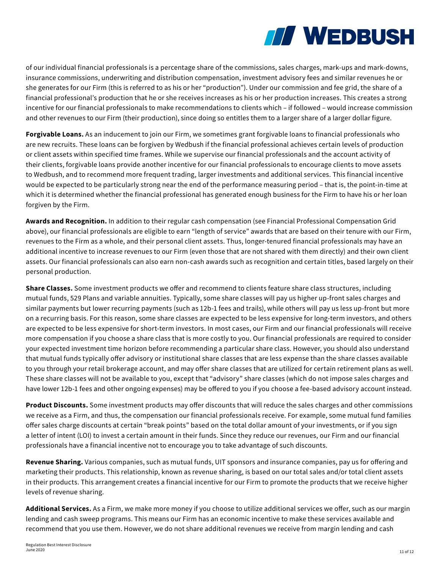

of our individual financial professionals is a percentage share of the commissions, sales charges, mark-ups and mark-downs, insurance commissions, underwriting and distribution compensation, investment advisory fees and similar revenues he or she generates for our Firm (this is referred to as his or her "production"). Under our commission and fee grid, the share of a financial professional's production that he or she receives increases as his or her production increases. This creates a strong incentive for our financial professionals to make recommendations to clients which – if followed – would increase commission and other revenues to our Firm (their production), since doing so entitles them to a larger share of a larger dollar figure.

**Forgivable Loans.** As an inducement to join our Firm, we sometimes grant forgivable loans to financial professionals who are new recruits. These loans can be forgiven by Wedbush if the financial professional achieves certain levels of production or client assets within specified time frames. While we supervise our financial professionals and the account activity of their clients, forgivable loans provide another incentive for our financial professionals to encourage clients to move assets to Wedbush, and to recommend more frequent trading, larger investments and additional services. This financial incentive would be expected to be particularly strong near the end of the performance measuring period – that is, the point-in-time at which it is determined whether the financial professional has generated enough business for the Firm to have his or her loan forgiven by the Firm.

**Awards and Recognition.** In addition to their regular cash compensation (see Financial Professional Compensation Grid above), our financial professionals are eligible to earn "length of service" awards that are based on their tenure with our Firm, revenues to the Firm as a whole, and their personal client assets. Thus, longer-tenured financial professionals may have an additional incentive to increase revenues to our Firm (even those that are not shared with them directly) and their own client assets. Our financial professionals can also earn non-cash awards such as recognition and certain titles, based largely on their personal production.

**Share Classes.** Some investment products we offer and recommend to clients feature share class structures, including mutual funds, 529 Plans and variable annuities. Typically, some share classes will pay us higher up-front sales charges and similar payments but lower recurring payments (such as 12b-1 fees and trails), while others will pay us less up-front but more on a recurring basis. For this reason, some share classes are expected to be less expensive for long-term investors, and others are expected to be less expensive for short-term investors. In most cases, our Firm and our financial professionals will receive more compensation if you choose a share class that is more costly to you. Our financial professionals are required to consider your expected investment time horizon before recommending a particular share class. However, you should also understand that mutual funds typically offer advisory or institutional share classes that are less expense than the share classes available to you through your retail brokerage account, and may offer share classes that are utilized for certain retirement plans as well. These share classes will not be available to you, except that "advisory" share classes (which do not impose sales charges and have lower 12b-1 fees and other ongoing expenses) may be offered to you if you choose a fee-based advisory account instead.

**Product Discounts.** Some investment products may offer discounts that will reduce the sales charges and other commissions we receive as a Firm, and thus, the compensation our financial professionals receive. For example, some mutual fund families offer sales charge discounts at certain "break points" based on the total dollar amount of your investments, or if you sign a letter of intent (LOI) to invest a certain amount in their funds. Since they reduce our revenues, our Firm and our financial professionals have a financial incentive not to encourage you to take advantage of such discounts.

**Revenue Sharing.** Various companies, such as mutual funds, UIT sponsors and insurance companies, pay us for offering and marketing their products. This relationship, known as revenue sharing, is based on our total sales and/or total client assets in their products. This arrangement creates a financial incentive for our Firm to promote the products that we receive higher levels of revenue sharing.

**Additional Services.** As a Firm, we make more money if you choose to utilize additional services we offer, such as our margin lending and cash sweep programs. This means our Firm has an economic incentive to make these services available and recommend that you use them. However, we do not share additional revenues we receive from margin lending and cash